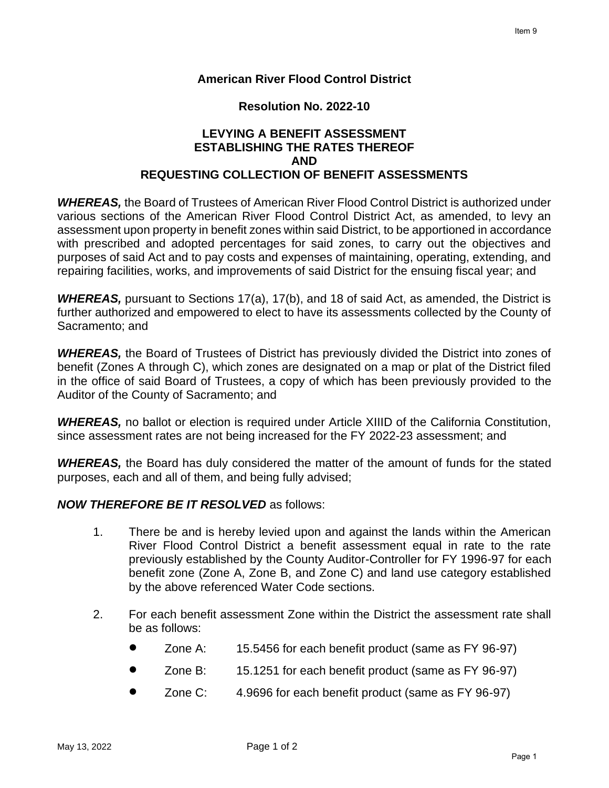### **American River Flood Control District**

#### **Resolution No. 2022-10**

# **LEVYING A BENEFIT ASSESSMENT ESTABLISHING THE RATES THEREOF AND REQUESTING COLLECTION OF BENEFIT ASSESSMENTS**

*WHEREAS,* the Board of Trustees of American River Flood Control District is authorized under various sections of the American River Flood Control District Act, as amended, to levy an assessment upon property in benefit zones within said District, to be apportioned in accordance with prescribed and adopted percentages for said zones, to carry out the objectives and purposes of said Act and to pay costs and expenses of maintaining, operating, extending, and repairing facilities, works, and improvements of said District for the ensuing fiscal year; and

*WHEREAS,* pursuant to Sections 17(a), 17(b), and 18 of said Act, as amended, the District is further authorized and empowered to elect to have its assessments collected by the County of Sacramento; and

*WHEREAS,* the Board of Trustees of District has previously divided the District into zones of benefit (Zones A through C), which zones are designated on a map or plat of the District filed in the office of said Board of Trustees, a copy of which has been previously provided to the Auditor of the County of Sacramento; and

*WHEREAS,* no ballot or election is required under Article XIIID of the California Constitution, since assessment rates are not being increased for the FY 2022-23 assessment; and

*WHEREAS,* the Board has duly considered the matter of the amount of funds for the stated purposes, each and all of them, and being fully advised;

### *NOW THEREFORE BE IT RESOLVED* as follows:

- 1. There be and is hereby levied upon and against the lands within the American River Flood Control District a benefit assessment equal in rate to the rate previously established by the County Auditor-Controller for FY 1996-97 for each benefit zone (Zone A, Zone B, and Zone C) and land use category established by the above referenced Water Code sections.
- 2. For each benefit assessment Zone within the District the assessment rate shall be as follows:
	- Zone A: 15.5456 for each benefit product (same as FY 96-97)
	- Zone B: 15.1251 for each benefit product (same as FY 96-97)
	- Zone C: 4.9696 for each benefit product (same as FY 96-97)